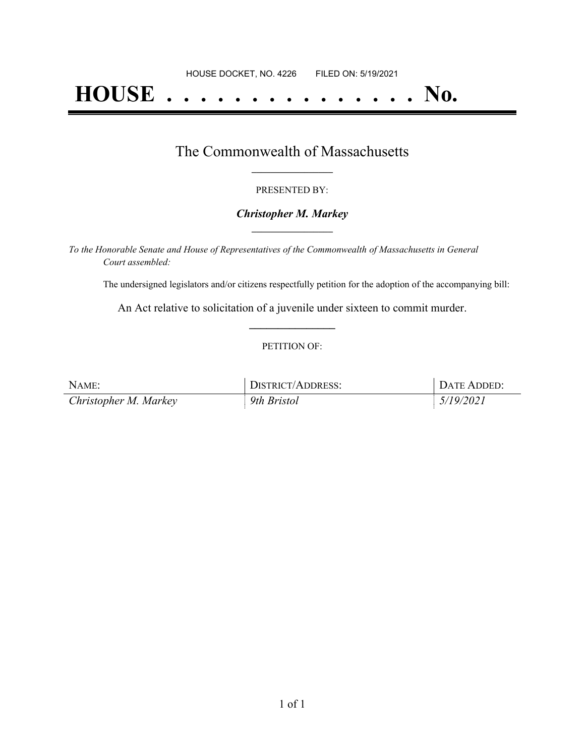# **HOUSE . . . . . . . . . . . . . . . No.**

### The Commonwealth of Massachusetts **\_\_\_\_\_\_\_\_\_\_\_\_\_\_\_\_\_**

#### PRESENTED BY:

#### *Christopher M. Markey* **\_\_\_\_\_\_\_\_\_\_\_\_\_\_\_\_\_**

*To the Honorable Senate and House of Representatives of the Commonwealth of Massachusetts in General Court assembled:*

The undersigned legislators and/or citizens respectfully petition for the adoption of the accompanying bill:

An Act relative to solicitation of a juvenile under sixteen to commit murder. **\_\_\_\_\_\_\_\_\_\_\_\_\_\_\_**

#### PETITION OF:

| NAME:                 | DISTRICT/ADDRESS: | DATE ADDED: |
|-----------------------|-------------------|-------------|
| Christopher M. Markey | 9th Bristol       | 5/19/2021   |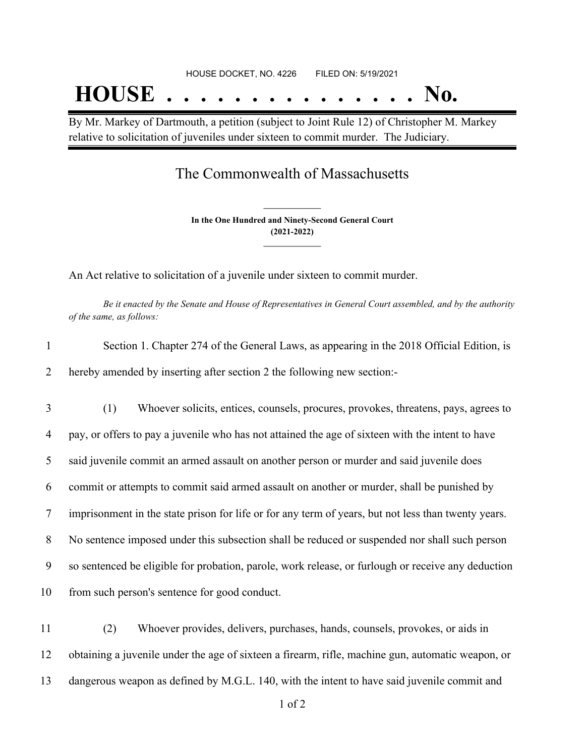# HOUSE DOCKET, NO. 4226 FILED ON: 5/19/2021 **HOUSE . . . . . . . . . . . . . . . No.**

By Mr. Markey of Dartmouth, a petition (subject to Joint Rule 12) of Christopher M. Markey relative to solicitation of juveniles under sixteen to commit murder. The Judiciary.

## The Commonwealth of Massachusetts

**In the One Hundred and Ninety-Second General Court (2021-2022) \_\_\_\_\_\_\_\_\_\_\_\_\_\_\_**

**\_\_\_\_\_\_\_\_\_\_\_\_\_\_\_**

An Act relative to solicitation of a juvenile under sixteen to commit murder.

Be it enacted by the Senate and House of Representatives in General Court assembled, and by the authority *of the same, as follows:*

| 1  | Section 1. Chapter 274 of the General Laws, as appearing in the 2018 Official Edition, is           |
|----|-----------------------------------------------------------------------------------------------------|
| 2  | hereby amended by inserting after section 2 the following new section:-                             |
| 3  | (1)<br>Whoever solicits, entices, counsels, procures, provokes, threatens, pays, agrees to          |
| 4  | pay, or offers to pay a juvenile who has not attained the age of sixteen with the intent to have    |
| 5  | said juvenile commit an armed assault on another person or murder and said juvenile does            |
| 6  | commit or attempts to commit said armed assault on another or murder, shall be punished by          |
| 7  | imprisonment in the state prison for life or for any term of years, but not less than twenty years. |
| 8  | No sentence imposed under this subsection shall be reduced or suspended nor shall such person       |
| 9  | so sentenced be eligible for probation, parole, work release, or furlough or receive any deduction  |
| 10 | from such person's sentence for good conduct.                                                       |
| 11 | Whoever provides, delivers, purchases, hands, counsels, provokes, or aids in<br>(2)                 |

12 obtaining a juvenile under the age of sixteen a firearm, rifle, machine gun, automatic weapon, or 13 dangerous weapon as defined by M.G.L. 140, with the intent to have said juvenile commit and